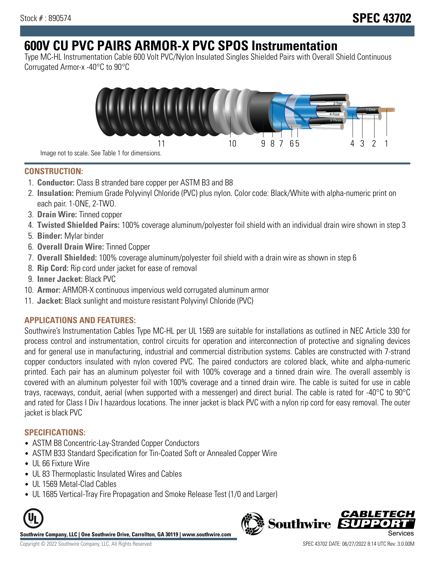# **600V CU PVC PAIRS ARMOR-X PVC SPOS Instrumentation**

Type MC-HL Instrumentation Cable 600 Volt PVC/Nylon Insulated Singles Shielded Pairs with Overall Shield Continuous Corrugated Armor-x -40°C to 90°C



**CONSTRUCTION:**

- 1. **Conductor:** Class B stranded bare copper per ASTM B3 and B8
- 2. **Insulation:** Premium Grade Polyvinyl Chloride (PVC) plus nylon. Color code: Black/White with alpha-numeric print on each pair. 1-ONE, 2-TWO.
- 3. **Drain Wire:** Tinned copper
- 4. **Twisted Shielded Pairs:** 100% coverage aluminum/polyester foil shield with an individual drain wire shown in step 3
- 5. **Binder:** Mylar binder
- 6. **Overall Drain Wire:** Tinned Copper
- 7. **Overall Shielded:** 100% coverage aluminum/polyester foil shield with a drain wire as shown in step 6
- 8. **Rip Cord:** Rip cord under jacket for ease of removal
- 9. **Inner Jacket:** Black PVC
- 10. **Armor:** ARMOR-X continuous impervious weld corrugated aluminum armor
- 11. **Jacket:** Black sunlight and moisture resistant Polyvinyl Chloride (PVC)

# **APPLICATIONS AND FEATURES:**

Southwire's Instrumentation Cables Type MC-HL per UL 1569 are suitable for installations as outlined in NEC Article 330 for process control and instrumentation, control circuits for operation and interconnection of protective and signaling devices and for general use in manufacturing, industrial and commercial distribution systems. Cables are constructed with 7-strand copper conductors insulated with nylon covered PVC. The paired conductors are colored black, white and alpha-numeric printed. Each pair has an aluminum polyester foil with 100% coverage and a tinned drain wire. The overall assembly is covered with an aluminum polyester foil with 100% coverage and a tinned drain wire. The cable is suited for use in cable trays, raceways, conduit, aerial (when supported with a messenger) and direct burial. The cable is rated for -40°C to 90°C and rated for Class I Div I hazardous locations. The inner jacket is black PVC with a nylon rip cord for easy removal. The outer jacket is black PVC

## **SPECIFICATIONS:**

- ASTM B8 Concentric-Lay-Stranded Copper Conductors
- ASTM B33 Standard Specification for Tin-Coated Soft or Annealed Copper Wire
- UL 66 Fixture Wire
- UL 83 Thermoplastic Insulated Wires and Cables
- UL 1569 Metal-Clad Cables
- UL 1685 Vertical-Tray Fire Propagation and Smoke Release Test (1/0 and Larger)



**Southwire Company, LLC | One Southwire Drive, Carrollton, GA 30119 | www.southwire.com**